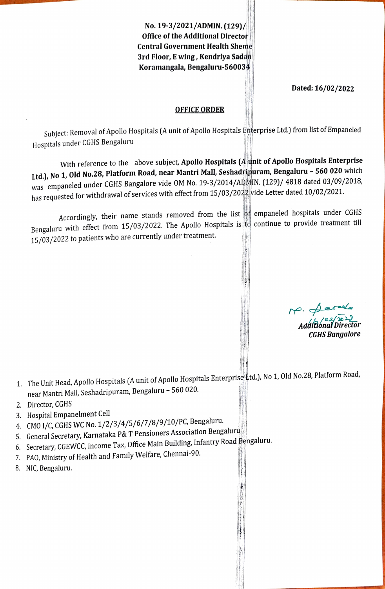No. 19-3/2021/ADMIN. (129)/ ofice of the Additlonal Director Central Government Health Sheme 3rd Floor, E wing, Kendrlya Sadan Koramangala, Bengaluru-5600344

Dated: 16/02/2022

## OFFICE ORDER

Subject: Removal of Apollo Hospitals (A unit of Apollo Hospitals Enterprise Ltd.) from list of Empaneled Hospitals under CGHS Bengaluru

With reference to the above subject, Apollo Hospitals (A unit of Apollo Hospitals Enterprise Ltd.), No 1, Old No.28, Platform Road, near Mantri Mall, Seshadripuram, Bengaluru - 560 020 which was empaneled under CGHS Bangalore vide OM No. 19-3/2014/ADMIN. (129)/ 4818 dated 03/09/2018, has requested for withdrawal of services with effect from  $15/03/2022$  vide Letter dated  $10/02/2021$ .

Accordingly, their name stands removed from the list of empaneled hospitals under CGHS Bengaluru with effect from 15/03/2022. The Apollo Hospitals is to continue to provide treatment till 15/03/2022 to patients who are currently under treatment.

 $h^{6}/92/\sqrt{2022}$ Addiñónal Director CGHS Bangalore

- 1. The Unit Head, Apollo Hospitals (A unit of Apollo Hospitals Enterprise' Ltd.), No 1, Old No.28, Platform Road, near Mantri Mall, Seshadripuram, Bengaluru - 560 020.
- 2. Director, CGHS
- 3. Hospital Empanelment Cell
- 4. CMO 1/C, CGHS WC No. 1/2/3/4/5/6/7/8/9/10/PC, Bengaluru.
- 5. General Secretary, Karnataka P& T Pensioners Association Bengaluru
- 6. Secretary, CGEWCC, income Tax, Ofice Main Building, Infantry Road Bengaluru.
- 7. PAO, Ministry of Health and Family Welfare, Chennai-90.
- 8. NIC, Bengaluru.